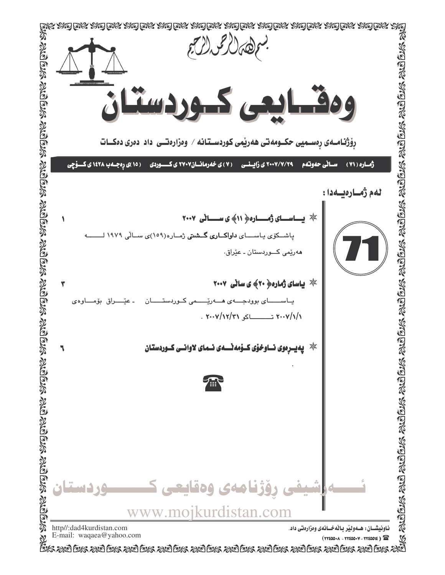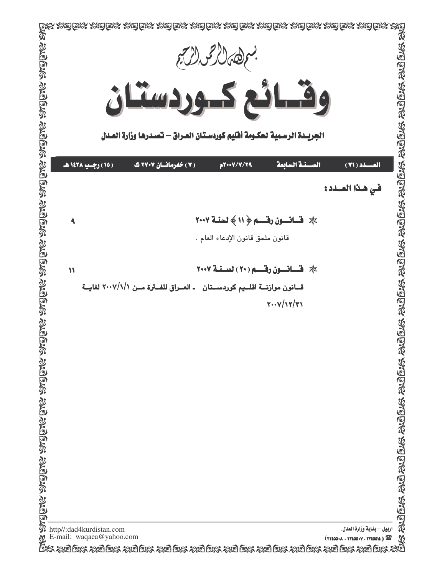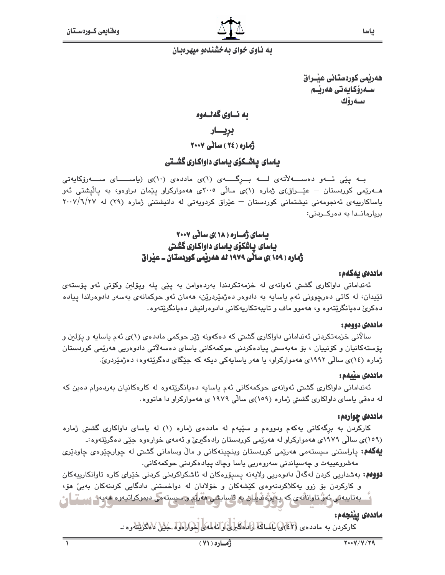هەربمى كوردستانى عبىراق سـەرۆكـايەتى ھەرێـم سـەرۆك

# به نساوي گەنسەوە

بريسار

.<br>ژماره ( ۲٤ ) ساٽي ۲۰۰۷

# یاسای پاشـکوّی یاسای داواکاری گشـتی

بــه پێی ئـــهو دهســــهلأتهى لــــه بـــرِگـــــهى (۱)ى ماددهى (۱۰)ى (ياســـــاى ســــهرزكايهتى هـــهریمی کوردستان – عیـْـــراق)ی ژماره (۱)ی سالْمی ۲۰۰۵ی ههموارکراو پیْمان دراوهو، به پالْپشتی ئەو یاساکارییهی ئه نجومهنی نیشتمانی کوردستان – عیّراق کردویهتی له دانیشتنی ژماره (۲۹) له ۲۰۰۷/٦/۲۷ بريارمانـدا به دەركــردنى:

# باسای ژماره ( ۱۸ )ی ساٽي ۲۰۰۷ باسای پاشکوی باسای داواکاری گشتی ژماره ( ۱۵۹ )ی سائی ۱۹۷۹ له ههریمی کوردستان ــ عیراق

### ماددەى يەكەم :

ئەندامانى داواكارى گشتى ئەوانەى لە خزمەتكردندا بەردەوامن بە پێى پلە وپۆلىن وكۆنى ئەو پۆستەى تێڽدان، له کاتي دەرچووني ئەم ياسايە بە دادوەر دەژمێردرێن، ھەمان ئەو حوکمانەي بەسەر دادوەراندا ييادە دهکري دهيانگريٽهوه و، ههموو ماف و تايبهتکاريهکاني دادوهرانيش دهيانگريٽهوه٠

### ماددەى دوومم :

سالاني خزمهتکردني ئهنداماني داواکاري گشتي که دهکهونه ژێر حوکمي ماددهي (۱)ي ئهم ياسايه و يۆلىن و يۆستەكانيان و كۆنىيان ، بۆ مەبەستى ييادەكردنى حوكمەكانى ياساي دەسەلاتى دادوەريى ھەرپمى كوردستان ژماره (١٤)ی سالّی ١٩٩٢ی ههموارکراو، یا ههر یاسایهکی دیکه که جنگای دهگریتهوه، دهژمیردریّ.

# ماددەى سىيەم :

ئەندامانى داواكارى گشتى ئەوانەي حوكمەكانى ئەم باسابە دەبانگريتەوە لە كارەكانيان بەردەوام دەبن كە له دهقی باسای داواکاری گشتی ژماره (۱۵۹)ی سالّی ۱۹۷۹ ی ههموارکراو دا هاتووه.

### ماددهی چوارمم :

کارکردن به برگهکانی یهکهم ودووهم و سنیهم له ماددهی ژماره (۱) له یاسای داواکاری گشتی ژماره (۱۵۹)ۍ سالي ۱۹۷۹ی ههموارکراو له ههريمي کوردستان رادهگيري و ئهمهي خوارهوه جێي دهگريتهوه :ـ

**لِيُهُگُهُمْ:** ياراستنی سيستەمی ھەرێمی کوردستان وینچینەکانی و مالٌ وسامانی گشتی لە چوارچێوەی چاودێری مەشروعىيەت و چەسپاندنى سەروەريى ياسا وچاك پيادەكردنى حوكمەكانى٠

**فوومم:** بەشداریی کردن لەگەڵ دادوەریی ولایەنە پسىۆرەكان لە ئاشكراكردنی كردنی خێرای كارە تاوانكارىيەكان و کارکردن بۆ زوو يەکلاکردنەوەی کێشەکان و خۆلادان لە دواخستنى دادگايى کردنەکان بەبىؒ ھۆ،

\_ بەتايبەتى ئەنٌ تارانانە*ي* كە پەيۋە قى<mark>ي</mark>ان بە ئاسايشى مەرلە دىسىستەمى دىموكراتيەرە ھەيەت سىڭى<mark>لى</mark>ن

# ماددەى يېنجەم:

كاركردن به ماددهى (٤٢) بالساكة (إداهگيل) والمعلمي الحواراول كميل لاهگريته وه :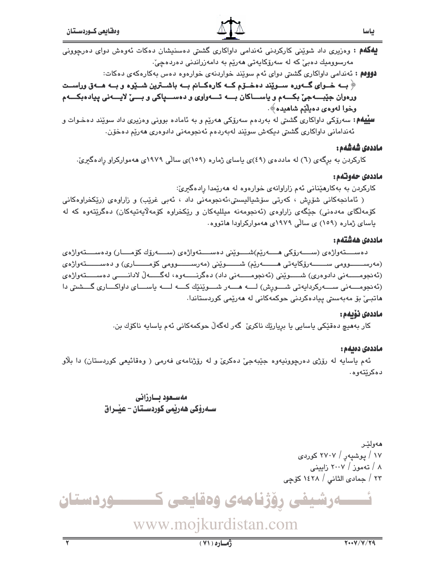**دووهم :** ئەندامى داواكارى گشتى دواى ئەم سوێند خواردنەى خوارەوە دەس بەكارەكەى دەكات:

﴿ بِــه خــوای گــهوره ســوێند دهخــۆم کــه کارهکــانم بــه باشــترین شــێوه و بــه هــهق وراســت ورهوان جێبـــهجيّ بکـــهم و پاســــاکان بــــه تـــهواوي و دهســــپاکي و بــــيّ لايــــهني پيادهبکـــهم وخوا لەوەي دەيلٌٽم شاھىدە﴾.

**سییهم:** سهرۆکی داواکاری گشتی له بهردهم سهرۆکی **م**هریم و به ئاماده بوونی وهزیری داد سویّند دهخـوات و ئەندامانى داواكارى گشتى دىكەش سويند لەبەردەم ئەنجومەنى دادوەرى ھەريم دەخۆن.

# ماددەى شەشەم :

کارکردن به برگهی (٦) له ماددهی (٤٩)ی یاسای ژماره (١٥٩)ی سالّی ۱۹۷۹ی ههموارکراو رِادهگیریّ.

# ماددەى جەوتەم:

کارکردن به بهکارهێنانی ئهم زاراوانهی خوارهوه له ههرێمدا رادهگیریّ:

( ئامانجەكانى شۆرش ، كەرتى سۆشياليستى،ئەنجومەنى داد ، ئەبى غريب) و زاراوەي (ريكخراوەكانى کۆمەلگای مەدەنى) جێگەی زاراوەی (ئەنجومەنە میللیەکان و رێکخراوە کۆمەلايەتیەکان) دەگرێتەوە کە لە یاسای ژماره (۱۵۹) ی سالّی ۱۹۷۹ی ههموارکراودا هاتووه.

### ماددەى ھەشتەم :

دەســـتەواژەي (ســــەرۆكى ھــــەرێم)شــــوێنى دەســــتەواژەي (ســــەرۆك كۆمــــار) ودەســــتەواژەي (مەرسىـــــوومى ســـــــــەرۆكايەتى ھــــــــەرێم) شـــــــوێنى (مەرســـــــوومى كۆمــــــارى) و دەســـــــتەواژەي (ئەنجومـــــەنى دادوەرى) شـــــوێنى (ئەنجومــــــەنى داد) دەگرنــــــەوە، لەگـــــەلْ لادانـــــى دەســـــتەواژەي (ئەنجومــــەنى ســــەركردايەتى شـــورش) لــــە ھــــەر شـــوێنێك كــــە لــــە ياســــاى داواكـــارى گـــشىتى دا ماتبـێ بۆ مەبەستى ييادەكردنى حوكمەكانى لە مەرێمى كوردستاندا٠

### ماددەى نۆيەم :

کار بەھيچ دەقێکى ياسايى يا بريارێك ناكرێ گەر لەگەڵ حوکمەکانى ئەم ياسايە ناكۆك بن.

### ماددەى دەبەم :

ئهم ياسايه له رۆژي دەرچوونيەوە جێبەجىٚ دەكرىٰ و له رۆژنامەي فەرمى ( وەقائيعى كوردستان) دا بلاّو دەكرێتەوە.

> مەسىعود بسارزانى ســەرۆكى ھەرپمى كوردســتان – عيْــراق

> > هەولتى ۱۷ / یوشیهر / ۲۷۰۷ کوردی ۸ / تەموز / ۲۰۰۷ زايينى ۲۳ / جمادی الثانی / ۱٤۲۸ کۆچی

مرشیفی رؤژنامەی وەقايعی ك ــوردستان

www.mojkurdistan.com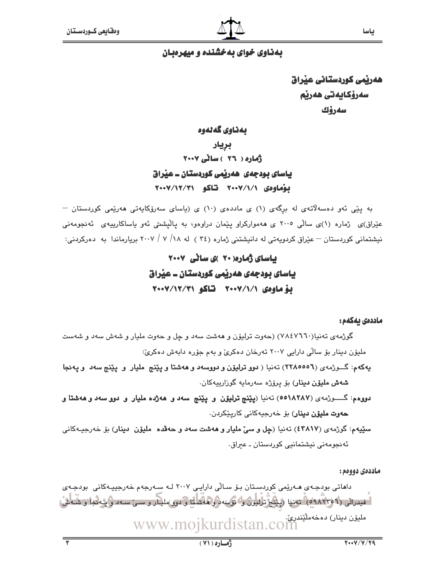# بهذاوی خوای به خشنده و میهرهبان

ھەربمى كوردستانى عبراق سەرۆكايەتى ھەرپە سەرۆك

بەناوى گەنەوە بريار ڈمارہ ( ۲۲ ) ساٹے ۲۰۰۷ باسای بودجهی ههربمی کوردستان ــ عیراق بوهاوهى ٧٠٠٧/١/١ تاكو ٧٠٠٧/١٢/٢٠

به پێی ئەو دەسەلاتەی لە برِگەی (۱) ی ماددەی (۱۰) ی (یاسای سەرۆکايەتی ھەرێمی کوردستان – عیّراق)ی ژماره (۱)ی سالّی ۲۰۰۵ ی ههموارکراو پیّمان دراوهو، به پالیشتی ئهو یاساکارییهی ئهنجومهنی نیشتمانی کوردستان – عێراق کردویهتی له دانیشتنی ژماره (٢٤ ) له ۱۸/ ۷ / ۲۰۰۷ بریارماندا به دەرکردنی:

# باسای ژماره(۲۰ )ی سانی ۲۰۰۷ باسای بودجهی ههریمی کوردستان ــ عیراق بهُ ماوهي ٧٠٠٧/١/١٧ قاكو ٧٠٠٧/١٢/٢٠

### ماددەى يەكەم :

گوژمهی تهنیا(۷۸٤۷٦٦٠) (حەوت ترلیۆن و هەشت سەد و چل و حەوت ملیار و شەش سەد و شەست ملیۆن دینار بۆ سالی دارایی ۲۰۰۷ تەرخان دەكرى و بەم جۆرە دابەش دەكرىٰ:

- يهکهم: گـــوژمهي (٢٢٨٥٥٥٦) تهنيا ( دوو ترليۆن و دووسهد و ههشتا و پێنج مليار و پێنج سهد و پهنجا **شەش مليۆن دېينار**) بۆ پرۆژە سەرمايە گوزاريپەكان.
- دووهم: گــــــــوژمهى (٥٥١٨٢٨٧) نـهنمنيا (پێپنج ترليۆن و پێپنج سهد و ههژده مليار و دوو سهد و ههشتا و **حەوت مليۆن دېنار**) بۆ خەرجيەكانى كارپێكردن.
- سٽيهم: گوژمهي (٤٣٨١٧) تهنيا (چل و سيّ مليار و ههشت سهد و حهڤده مليۆن دينار) بوّ خهرجيـهكاني ئەنجومەنى نېشتمانيى كوردستان ـ عىراق٠

ماددەي دووەم:

داماتی بودجهی مهریمی کوردستان بۆ سالّی دارایی ۲۰۰۷ لـه سهرجهم خهرجییهکانی بودجهی " فيدراني (٩/٩٨٢٣ه)" تەنيا (يَبْنُجُ تَرْلِيوْنَ وَ؟ نَوْسُه دِرُوهاشكَ وَ دور)مليار و سى سـەد و يەنجا و شـەش، مليۆن دېنار) دەخەملىيىدرى، www.mojkurdistan.com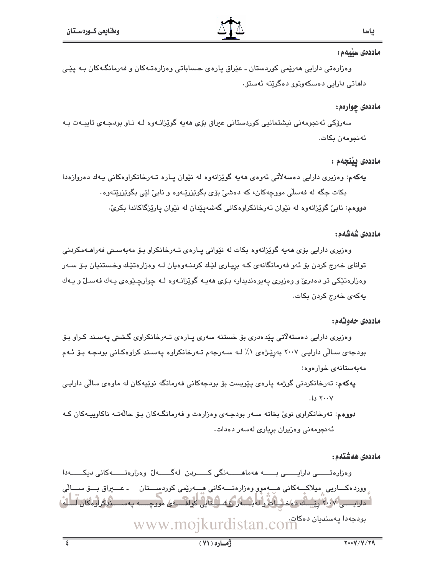### ماددەى سىيەم :

وەزارەتى دارايى ھەرێمى كوردستان ـ عێراق يارەي حـساباتى وەزارەتـﻪكان و فەرمانگـﻪكان بـﻪ يێـﻰ داھاتى دارايى دەسكەوتوو دەگرێتە ئەستۆ٠

# ماددهۍ چوارهم:

سەرۆكى ئەنجومەنى نيشتمانيى كوردستانى عيراق بۆي ھەپە گوێزانـەوە لـە نـاو بودجـەي تايبـەت بـە ئەنجومەن يكات.

# ماددەى يېنجەم :

پهکهم: وهزیری دارایی دهسهلاتی ئهوهی ههیه گوێزانهوه له نێوان پیاره تبهرخانکراوهکانی پیهك دهروازهدا بکات جگه له فهسلّی مووجهکان، که دهشیؒ بۆی بگوی٘زرێـهوه و نابیؒ لێی بگوی٘زرێتهوه٠ دووهم: نابيٌ گوێزانهوه له نێوان تهرخانکراوهکاني گهشهيێدان له نێوان پارێزگاکاندا بکريّ.

# ماددەى شەشەم :

وەزیرى دارایى بۆی ھەيە گوێزانەوە بكات لە نێوانى پـارەی تـەرخانكراو بـۆ مەبەسـتى فەراھـﻪمكردنى تواناي خەرج كردن بۆ ئەو فەرمانگانەي كـه بريـارى لێـك كردنــەوەيان لـه وەزارەتێـك وخـستنيان بـۆ سـەر وهزارهتێکی تر دهدریؒ و وهزیری په پوهندیدار، بـۆی ههیـه گوێزانـهوه لـه چوارچـێوهی یـهك فهسـلؒ و یـهك يەكەي خەرج كردن بكات.

### ماددەي حەوتەم:

وەزیری دارایی دەستەلاتی یێدەدری بۆ خستنە سەری پـارەی تـەرخانکراوی گـشتی پـەسـند کـراو بـۆ بودجەی سالّی دارایی ۲۰۰۷ بەری٘ژەی ۱٪ لـه سـەرجەم تـەرخانکراوە پەسىند كراوەكـانی بودجـه بـۆ ئـەم مەبەستانەي خوارەوە:

**پەكە**م: تەرخانكردنى گوژمە يارە*ى* پێويست بۆ بودجەكانى فەرمانگە نوێپەكان لە ماوەى سالى دارايى ۲۰۰۷ دا.

دووهم: تەرخانكراوي نويٌ بخاته سـهر بودجـهي وهزارهت و فهرمانگـهكان بـۆ حالّهتـه ناكاوييـهكان كـه ئەنجومەنى وەزيران بريارى لەسەر دەدات.

ماددەى ھەشتەم:

وەزارەتىسى دارايىسى بىسە ھەماھىسەنگى كىسىردن لەگىسەل وەزارەتىسەكانى دىكىسەدا ِ وورده کــاريي ِ ميلاکــه کاني هــهموو وهزارهتــه کاني هــهريمي کوردســـتان مــ عـــيراق بـــوّ ســـالّي ا - دارایسسی ۱۰/۷ رئیستان ده خیلیان و له بخشه رکوشگیا این کولف به علی موقع سبه په سیستندگراوه کان کتابه) بودجهدا پهسنديان دهكات.<br>Stan.com www.mojkurdi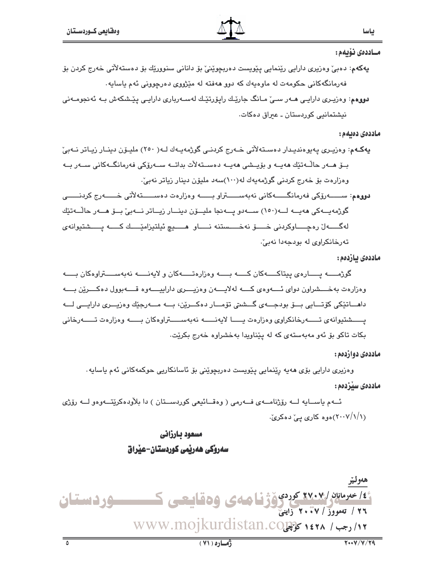#### مــاددەى نۆىمم:

- پهگەم: دەبیؒ وەزیری دارایی رێنمایی پێویست دەربچوێنیؒ بۆ دانانی سنوورێك بۆ دەستەلآتی خەرج كردن بۆ فهرمانگهکاني حکومهت له ماوهيهك که دوو ههفته له مێژووي دهرچووني ئهم ياسايه٠
- دووهم: وەرپـری دارایـی هــەر سـیٚ مــانگ جارێـك رایۆرتێـك لەســەرباری دارایـی یێـشكەش بـه ئەنجومــەنی نيشتمانيي کوردستان ـ عبراق دەکات.

ماددەى دەبەم :

- پهکـهم: وەزیـری په پوەندیـدار دەسـتەلاتى خــەرج کردنــى گوژمەپــەك لــە( ٢٥٠) ملیـۆن دینـار زیـاتر نــەبیّ بــۆ مــەر حاڭــەتێك مەپــە و بۆيــشى مەپــە دەســتەلأت بداتــە ســەرۆكى فەرمانگــەكانى ســەر بــە وەزارەت بۆ خەرج كردنى گوژمەيەك لە(١٠٠)سەد مليۆن دينار زياتر نەبىؒ.
- گوژمەيــەكى ھەيــە لــە(١٥٠) ســـەدو يـــەنجا مليــۆن دينــار زيــاتر نـــەبىؒ بــۆ ھــەر حالّــەتێك لەگـــــەلّ رەچـــــاوكردنى خــــــۆ نەخــــــستنە نـــــاو هــــــيچ ئيلتيزامێــــك كــــــه پـــــشتيوانەي تەرخانكراوى لە بودجەدا نەبىْ.

#### ماددەى بازدەم :

گوژمــــه يــــارەي پيتاكــــهكان كــــه بــــه وەزارەتـــــهكان و لايەنـــــه نەبەســــتراوەكان بــــه وهزارهت بهخــــشراون دواي ئــــهوهي كــــه لهلايــــهن وهزيــــرى داراييــــهوه قــــهبوول دهكــــرين بــــه داهـــاتێکي کۆتـــايي بـــۆ بودجـــهي گـــشتي تۆمـــار دەکـــرێن، بـــه مـــهرجێك وەزيـــرى دارايـــي لـــه يستشتيوانهى تستەرخانكراوى وەزارەت يستا لايەنستە نەبەسىستراوەكان بستە وەزارەت تىسەرخانى بکات تاکو بۆ ئەو مەبەستەي کە لە يێناويدا بەخشراوە خەرج بکرێت.

### ماددهي دوازدهم:

وەزیرى دارایى بۆی ھەيە رِيْنمايى پِيْويست دەربچوێنى بۆ ئاسانكاریى حوكمەكانى ئەم ياسايە٠

#### ماددەي سىردەم:

ئــهم ياســايه لــه رۆژنامــهى فــهرمى ( وەقــائيعى كوردســتان ) دا بلاودەكريتــهوەو لــه رۆژى (۲۰۰۷/۱/۱)موه کاری پیّ دهکریّ.

# مسعود بارزاني سەروكى ھەربىي كوردستان-عبراق

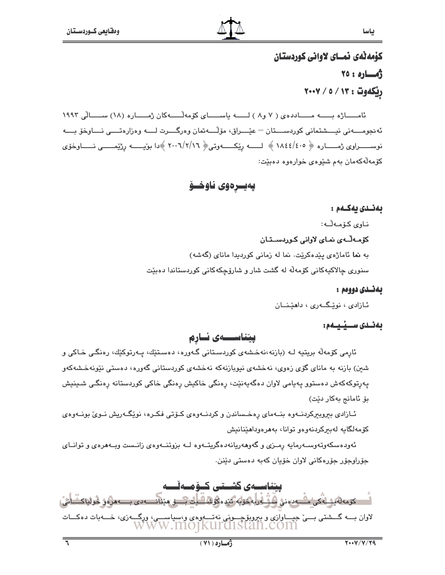# كۆمەتەي نمساي لاوانى كوردستان رهساره: ۲۵ ريكەوت : ٧/ / ٥ / ٢٠٠٧

ئامساژه بسه مساددهى ( ٧ و٨ ) لسه ياسساى كۆمەلسەكان ژمساره (١٨) سىسالى ١٩٩٢ ئەنجومــــەنى نيــــشتمانى كوردســــتان – عيْــــراق، مۆلْــــەتمان وەرگــــرت لــــە وەزارەتــــى نــــاوخۆ بــــە نوســـــــراوى ژمـــــــاره ﴿ ١٨٤٤/٤٠٥ ﴾ لـــــــــــــــــــــوتــى﴿ ٢٠٠٦/٢/١٦ ﴾دا بويـــــــــــــ رژيدـــــــــى نـــــــاوخوّى کۆمەلەکەمان بەم شێوەي خوارەوە دەبێت:

پەيسرەوى ناوخسۆ

# بەنىدى يەكىمم :

ناوى كۆمەلّە:

# کۆمەلّــەی نمـای لاوانی کـوردســتـان

به نما ئاماژهى ييدهكريت. نما له زمانى كورديدا ماناى (گەشە) سنوري چالاکپهکاني کۆمەڵە لە گشت شار و شارۆچکەکانى کوردستاندا دەبێت

# بەئىدى دووەم :

ئازادى ، نويْگەرى ، داھێنــان

# بەنىدى سىسىنىمە:

ييتناسسەي ئسارم

ئارمی کۆمەلە بریتیە لـە (بازنە،نەخشەی کوردسـتانی گـەورە، دەسـتێك، پـەرتوكێك، رەنگـی خـاكی و شین) بازنه به مانای گۆی زەوی، نەخشەی نیوبازنەکە نەخشەی کوردستانی گەورە، دەستى نێونەخشەکەو يەرتوكەكەش دەستوو يەيامى لاوان دەگەيەنێت، رەنگى خاكيش رەنگى خاكى كوردستانە رەنگى شىينيش بۆ ئامانج بەكار دێت)

ئـازادى بېروبېركردنــهوه بنــهماى رهخـساندن و كردنــهوهى كــۆتى فكـره، نوێگــهريش نــوى بونــهوهى كۆمەلگايە لەبىركردنەوەو توانا، بەھرەوداھێنانىش

ئەودەسكەوتەوســەرمايە رمــزى و گەوھەريانەدەگريتــەوە لــە بزوتنــەوەي زانــست ويــەھرەي و توانــاي جۆراوجۆر جۆرەكانى لاوان خۆيان كەبە دەستى دێنن.

یتناسسەی گشستى كسۆمسەئسسە لىدى كۆمەلەيكىلەكى ماسەدەنى ھۆگەرلەكتۈپە ئىجەمگۈڭ كىلى مىنىلىسىەدى بىسەمىگەن كۆلئاكتىلاش، لاوان بـــه گـــشتی بـــیّ جیــــاوازی و ببروبۆچـــونی نهتــــهوهی و،سیاســـی، ورگــــهزی، خــــهبات دهکـــات<br>W W W . MO] KUI CISTAN . COM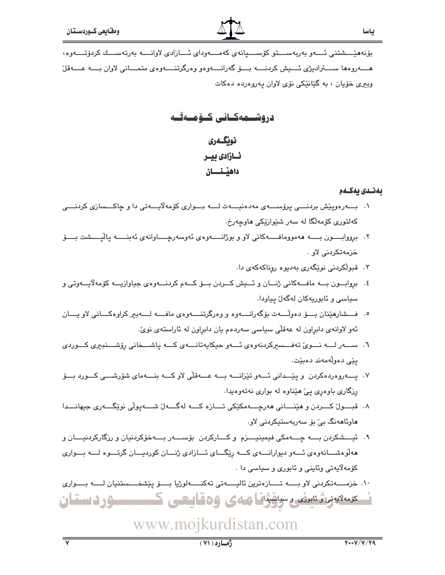بۆنەھێـــشتنى ئـــەو بەربەســـتو كۆســـيانەي كەمـــەوداي ئـــازادى لاوانـــە بەرتەســـك كردۆتــــەوە، هسهروهها سستراديژي ئسيش كردنسه بسق گهرانسهوهو وهركرتنسهوهي متمساني لاوان بسه عسهقل وبيرې خۆيان ، به گێانێکي نۆي لاوان پهروهرده دهکات

دروشسهه كسانى كسؤمسه تسه

# نويگەرى ئسازادی بیسر داهيشنسان

# بەنىدى بەكىم

- ۰۱ بـــه رهوییش بردنـــی پرۆســـهی مهدهنیـــهت لـــه بـــواری کۆمهلایـــهتی دا و چاکـــسازی کردنـــی کهلتوری کۆمەلگا لە سەر شێوازێکی ماوچەرخ.
- ۲. برووابـــــون بــــــه هەموومافـــــــهکانى لاو و بوژانــــــهوه٤ ئەوسەرچـــــاوانەي ئەبنـــــــه ياليـــــشت بـــــــوّ خزمەتكرىنى لاو
	- ۰۳ قبولکردنی نوێگەری بەدىيوە روناكەكەی دا.
- ٤. بروابون به مافسه کاني ژنسان و ئسيش کسردن بسوّ کسهم کردنسهوهي جياوازيسه کوّمه لايسهوتي و سياسي و ئابوريەكان لەگەل يياودا.
- ٥. فـــشارهێنان بـــــوّ دهوڵـــــهت بوّگهرانـــــهوه و وهرگرتنـــــهوهى مافـــــه لـــــهبير كراوهكــــانى لاو يــــان ئەو لاوانەي دابراون لە عەقلى سياسى سەردەم يان دابراون لە ئاراستەي نويّ.
- ٦. سىسەرلىمە نىموى تەفىسىركردنەوەي ئىمو حيكايەتانىمەي كىمە پاشىمخانى رۆشىىنبىرى كىموردى ىئى دەولەمەند دەيتت.
- ٧. يـــــەروەردەكردن ويێـــدانى ئــــەو تێزانــــه بــــه عــــەقلّى لاوكــــه بنــــهماي شۆرشــــى كـــورد بـــۆ رزگاري باوهري يې هيداوه له بواري نهتهوهيدا.
- ۸. قبـــول کــــردن و هێنــــاني هەرچــــەمکێکي تــــازه کــــه لهگــــهلّ شــــهيولّي نوێگــــهري جيهانــــدا ھاوئاھەنگ بىؒ بۆ سەربەستيكردنى لاو.
- ۹. ئيـــشكردن بــــه چـــهمكي فيمينيــــزم و كــــاركردن بۆســــهر بــــهخۆكردنيان و رزگاركردنيــــان و ههلوهشسانهوهی ئسهو دیوارانسهی کسه ریکسای ئسازادی ژنسان کوردیسان گرتسوه لسه بسواری کۆمەلايەتى وئاينى و ئابورى و سياسى دا .

١٠. خزمـــــــــه تكردني لاو بـــــــه تــــــازەترين ئاليـــــه تــ تـهكنــــــهلوژيا بــــــــق يـنشخـــــستنيان لــــــه بـــــواري ئەمەتبەر، ئىبرنى رسامۇنا ھەي ۋەقايىچى كىسىسسوردىستان

# www.mojkurdistan.com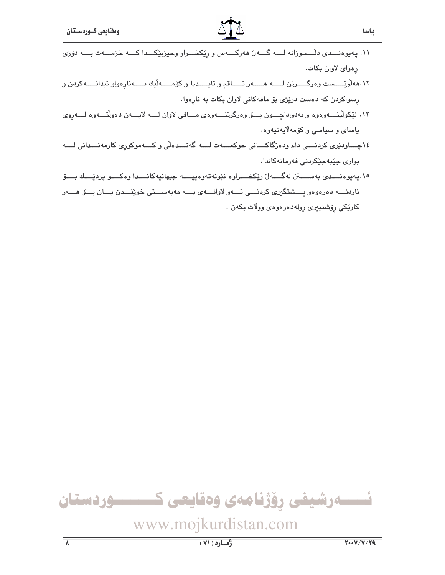- ١٢.هه لويّـــست وهرگــــرتن لــــــه هــــــه ر تـــــاقم و ئايـــــديا و كۆمـــــه ليك بـــــهنارهواو ئيدانــــــهكردن و رسواکردن که دهست دریْژی بو مافهکانی لاوان بکات به نارهوا.
- ۱۳. لێکولێنـــهوهوه و بهدواداچـــون بـــۆ وهرگرتنـــهوهى مـــافى لاوان لـــه لايـــهن دهولنّـــهوه لــــهڕوى ياساي و سياسي و کۆمەلايەتيەوە.
- ١٤ھـــاودێرى كردنـــى دام ودەزگاكـــانى حوكمــــەت لــــه گەنـــدەلّى و كــــەموكورى كارمەنـــدانى لــــه بواری جێبهجێِکردنی فهرمانهکاندا.
- ١٥.پەيوەنـــدى بەســـتن لەگـــەلّ رێكخـــراوە نێونەتەوەييــــە جيهانيەكانـــدا وەكـــو پردێـــك بـــۆ ناردنسه دهرهوهو يسشتگيرى كردنسى ئسهو لاوانسهى بسه مهبهسستى خوينسدن يسان بسق هسهر كارێِكى رۆشنبېرى رولەدەرەوەي وولات بكەن .



www.mojkurdistan.com

ياسا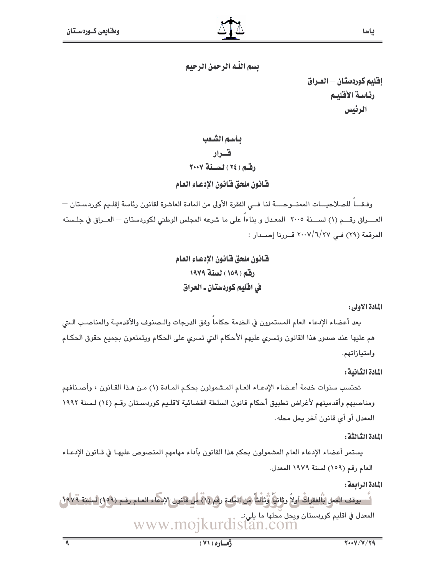ياسا

يسم اللَّه الرَّحمن الرَّحيم

إقليم كوردستان — العـراق رئاسة الأقليم الرئيس

بأسم الشعب قدار رقبه (٢٤) لسنة ٢٠٠٧

فانون ملحق فانون الإدعاء العام

وفيقا للصلاحيــات الممنــوحـــة لنا فــى الفقرة الأولى من المادة العاشرة لقانون رئاسة إقليم كوردسـتان — العــــراق رقــــم (١) لســــنة ٢٠٠٥ المعـدل و بناءاً على ما شرعه المجلس الوطني لكوردستان — العــراق في جلـسته المرقمة (٢٩) في ٢٠٠٧/٦/٢٧ قــررنا إصــدار :

> فانون ملحق فانون الإدعاء العام رقم (١٥٩) لسنة ١٩٧٩ في افليم كوردستان ـ العراق

> > المادة الأولى:

يعد أعضاء الإدعاء العام المستمرون في الخدمة حكاماً وفق الدرجات والـصنوف والأقدميـة والمناصب الـتى هم عليها عند صدور هذا القانون وتسرى عليهم الأحكام التي تسرى على الحكام ويتمتعون بجميع حقوق الحكام وامتيازاتهم.

المادة الثنانية :

تحتسب سنوات خدمة أعـضاء الإدعـاء العـام المـشمولون بحكـم المـادة (١) مـن هـذا القـانون ، وأصـنـافهم ومناصبهم وأقدميتهم لأغراض تطبيق أحكام قانون السلطة القضائية لاقليم كوردستان رقم (١٤) لسنة ١٩٩٢ المعدل أو أي قانون آخر يحل محله .

المادة الثبالثة :

يستمر أعضاء الإدعاء العام المشمولون بحكم هذا القانون بأداء مهامهم المنصوص عليهـا فى قـانون الإدعـاء العام رقم (١٥٩) لسنة ١٩٧٩ المعدل.

المادة الرابعة :

1 يوقف العمل بْالفقراتْ أولاً ويثانياً وْيَالتاً من المادة رقم (١) من قانون الإيجاء العـام رقـم (١٥٩) لبلننة ١٩٧٩، المعدل في اقليم كوردستان ويحل مُحلها ما يلي:ـ<br>UTCLISTAN.COM www.mo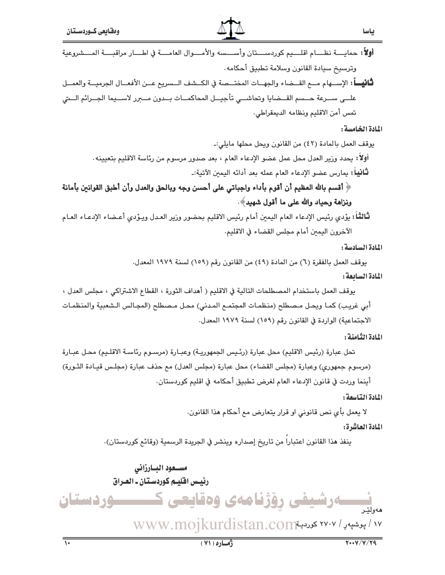| ومقايعي كسوردستان                                                                                                              | ╩╽╩                                                                                          |                                                       |
|--------------------------------------------------------------------------------------------------------------------------------|----------------------------------------------------------------------------------------------|-------------------------------------------------------|
| <b>أولاً:</b> حمايــــة نظــــام اقلــــيم كوردســــتان وأســــسه والأمــــوال العامــــة في اطــــار مراقبــــة المــــشروعية |                                                                                              |                                                       |
|                                                                                                                                |                                                                                              | وترسيخ سيادة القانون وسلامة تطبيق أحكامه.             |
| <b>ثَانيـــاً</b> : الإســـهام مـــع القـــضاء والجهـــات المختـــصة في الكــشف الــسريع عـــن الأفعـــال الجرميـــة والعمـــل |                                                                                              |                                                       |
| علــى ســرعة حــسم القـــضايا وتحاشـــي تأجيـــل المحاكمـــات بــدون مـــبرر لاســـيما الجـــرائم الـــتي                      |                                                                                              |                                                       |
|                                                                                                                                |                                                                                              | تمس أمن الاقليم ونظامه الديمقراطي.                    |
|                                                                                                                                |                                                                                              | المادة الخامسة:                                       |
|                                                                                                                                |                                                                                              | يوقف العمل بالمادة (٤٢) من القانون ويحل محلها مايلي:ـ |
|                                                                                                                                | أولاً: يحدد وزير العدل محل عمل عضو الإدعاء العام ، بعد صدور مرسوم من رئاسة الاقليم بتعيينه . |                                                       |
|                                                                                                                                | <b>ثَـانيباً:</b> يمارس عضو الإدعاء العام عمله بعد أدائه اليمين الآتية:ـ                     |                                                       |

﴿ أقسم بالله العظيم أن أقوم بأداء واجباتي على أحسن وجه وبالحق والعدل وأن أطبق القوانين بأمانة ونزامة وحياد والله على ما أقول شهيد﴾.

ثَالثَـّاً: يؤدي رئيس الإدعاء العام اليمين أمام رئيس الاقليم بحضور وزير العدل ويـؤدي أعـضاء الإدعـاء العـام الآخرون اليمين أمام مجلس القضاء في الاقليم.

المادة السادسة:

بوقف العمل بالفقرة (٦) من المادة (٤٩) من القانون رقم (١٥٩) لسنة ١٩٧٩ المعدل.

المادة السائعة:

يوقف العمل باستخدام المصطلحات التالية في الاقليم ( أهداف الثورة ، القطاع الاشتراكي ، مجلس العدل ، أبي غريب) كمـا ويحـل مـصطلح (منظمـات المجتمـع المـدني) محـل مـصطلح (المجـالس الـشعبية والمنظمـات الاجتماعية) الواردة في القانون رقم (١٥٩) لسنة ١٩٧٩ المعدل.

المادة الثامنة :

تحل عبارة (رئيس الاقليم) محل عبارة (رئيس الجمهوريـة) وعبـارة (مرسـوم رئاسـة الاقلـيم) محـل عبـارة (مرسوم جمهوري) وعبارة (مجلس القضاء) محل عبارة (مجلس العدل) مم حذف عبارة (مجلس قيـادة الثـورة) أينما وردت في قانون الإدعاء العام لغرض تطبيق أحكامه في اقليم كوردستان.

المادة التاسعة:

لا يعمل بأي نص قانوني او قرار يتعارض مع أحكام هذا القانون.

المادة العاشرة:

ينفذ هذا القانون اعتباراً من تاريخ إصداره وينشر في الجريدة الرسمية (وقائع كوردستان).

مستعود البنارزاني رئيس اقليم كوردستان ـ العراق رِوَژنامەی وەقايعى ك <u>سوردستان</u> **ے رتنیلشی** ١٧ / پوشپەر / ٢٧٠٧ كورديةwww.mojkurdistan.com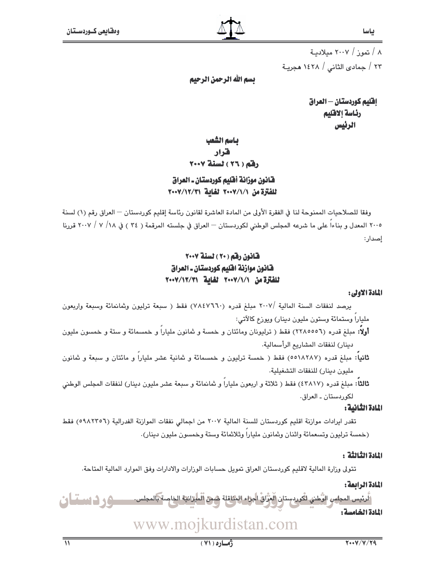٨ / تموز / ٢٠٠٧ میلادیـة ٢٣ / جمادى الثانى / ١٤٢٨ هجريـة

تسم الله الرحمن الرحيم

اقليم كوردستان - العراق رئاسة إلاقليم الرئيس

# باسم الشعب هرار رفق ( ٢٦ ) لسنة ٢٠٠٧

# ضَّانُونَ موزانةٌ أَهْلِيم كوردستان ـ العراق للفترة من ٧٠٧/١/٧٠٠٧ لغاية ٧٠٠٧/١٢/٣١

وفقا للصلاحيات الممنوحة لنا في الفقرة الأولى من المادة العاشرة لقانون رئاسة إقليم كوردستان — العراق رقم (١) لسنة ٢٠٠٥ المعدل و بناءاً على ما شرعه المجلس الوطني لكوردستان — العراق في جلسته المرقمة ( ٣٤ ) في ١٨/ ٧ / ٢٠٠٧ قررنا إصدار:

# قانون رقم (٢٠) لسنة ٢٠٠٧ فانون موازنة افليم كوردستان ـ العراق للفترة من ٧٠٧/١/٧٠٠ لغاية ٧٠٠٧/١٢/٣١

### المادة الاولى:

يرصد لنفقات السنة المالية /٢٠٠٧ مبلغ قدره (٧٨٤٧٦٦٠) فقط ( سبعة ترليون وثمانمائة وسبعة واربعون ملياراً وستمائة وستون مليون دينار) ويوزع كالأتى:

- **أولاً:** مبلغ قدره (٢٢٨٥٥٥٦) فقط ( ترليونان ومائتان و خمسة و شانون ملياراً و خمسمائة و ستة و خمسون مليون دينار) لنفقات المشاريع الرأسمالية.
- **ثانياً:** مبلغ قدره (٥٥١٨٢٨٧) فقط ( خمسة ترليون و خمسمائة و ثمانية عشر ملياراً و مائتان و سبعة و ثمانون مليون دينار) للنفقات التشغيلية.

ثالثاً: مبلغ قدره (٤٣٨١٧) فقط ( ثلاثة و اربعون ملياراً و ثمانمائة و سبعة عشر مليون دينار) لنفقات المجلس الوطني لكوردستان ـ العراق.

# المادة الثانية:

تقدر ايرادات موازنة اقليم كوردستان للسنة المالية ٢٠٠٧ من اجمالي نفقات الموازنة الفدرالية (٥٩٨٢٢٥٦) فقط (خمسة ترليون وتسعمائة واثنان وثمانون ملياراً وثلاثمائة وستة وخمسون مليون دينار).

### النادة الثنائثة :

تتولى وزارة المالية لاقليم كوردستان العراق تمويل حسابات الوزارات والادارات وفق الموارد المالية المتاحة.

### المادة الرائمة:

َلَّاسِ المجلسِ الرُّطني لكُوردستان الْجُرَّاقِ الجراء المتاقلة شمن الميزانية الخاصة بالمجلس.<br>-<u>سوردستان</u> المادة الخامسة:

# www.mojkurdistan.com